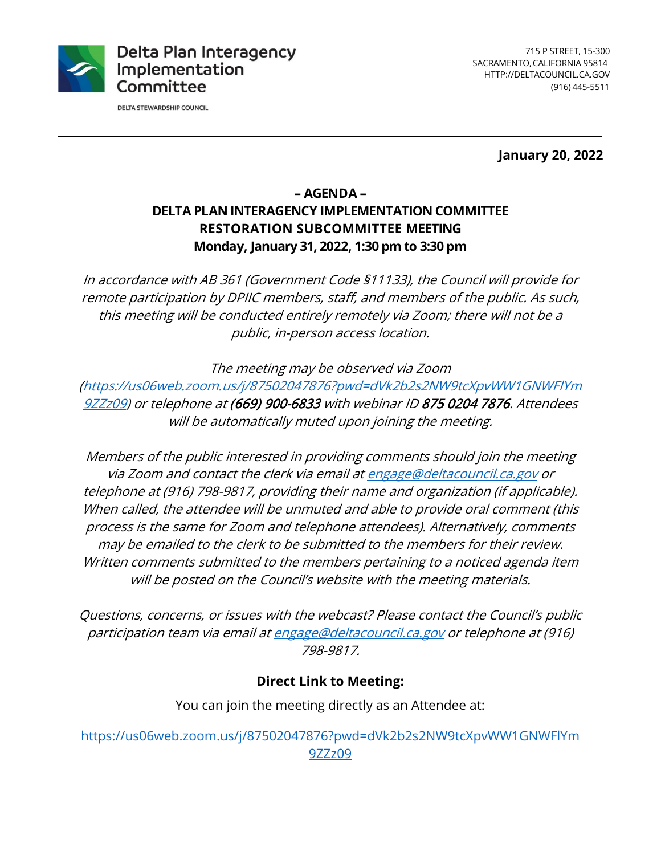

**DELTA STEWARDSHIP COUNCIL** 

 SACRAMENTO, CALIFORNIA 95814 (916) 445-5511 715 P STREET, 15-300 <HTTP://DELTACOUNCIL.CA.GOV>

**January 20, 2022** 

# **– AGENDA – DELTA PLAN INTERAGENCY IMPLEMENTATION COMMITTEE RESTORATION SUBCOMMITTEE MEETING Monday, January 31, 2022, 1:30 pm to 3:30 pm**

 remote participation by DPIIC members, staff, and members of the public. As such, In accordance with AB 361 (Government Code §11133), the Council will provide for this meeting will be conducted entirely remotely via Zoom; there will not be a public, in-person access location.

The meeting may be observed via Zoom

 9ZZz09) or telephone at (669) 900-6833 with webinar ID 875 0204 7876. Attendees [\(https://us06web.zoom.us/j/87502047876?pwd=dVk2b2s2NW9tcXpvWW1GNWFlYm](https://us06web.zoom.us/j/87502047876?pwd=dVk2b2s2NW9tcXpvWW1GNWFlYm 9ZZz09)  will be automatically muted upon joining the meeting.

Members of the public interested in providing comments should join the meeting via Zoom and contact the clerk via email at [engage@deltacouncil.ca.gov](mailto:engage@deltacouncil.ca.gov) or telephone at (916) 798-9817, providing their name and organization (if applicable). When called, the attendee will be unmuted and able to provide oral comment (this process is the same for Zoom and telephone attendees). Alternatively, comments may be emailed to the clerk to be submitted to the members for their review. Written comments submitted to the members pertaining to a noticed agenda item will be posted on the Council's website with the meeting materials.

Questions, concerns, or issues with the webcast? Please contact the Council's public participation team via email at [engage@deltacouncil.ca.gov](mailto:engage@deltacouncil.ca.gov) or telephone at (916) 798-9817.

#### **Direct Link to Meeting:**

You can join the meeting directly as an Attendee at:

 9ZZz09 [https://us06web.zoom.us/j/87502047876?pwd=dVk2b2s2NW9tcXpvWW1GNWFlYm](https://us06web.zoom.us/j/87502047876?pwd=dVk2b2s2NW9tcXpvWW1GNWFlYm 9ZZz09)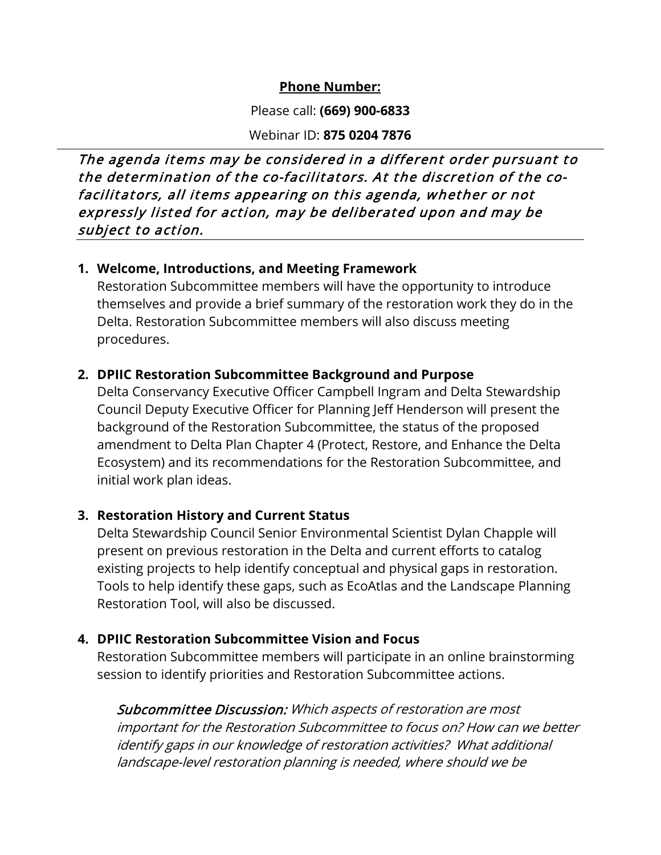#### **Phone Number:**

Please call: **(669) 900-6833** 

Webinar ID: **875 0204 7876** 

 The agenda items may be considered in a different order pursuant to expressly listed for action, may be deliberated upon and may be the determination of the co-facilitators. At the discretion of the cofacilitators, all items appearing on this agenda, whether or not subject to action.

#### **1. Welcome, Introductions, and Meeting Framework**

 procedures. Restoration Subcommittee members will have the opportunity to introduce themselves and provide a brief summary of the restoration work they do in the Delta. Restoration Subcommittee members will also discuss meeting

## **2. DPIIC Restoration Subcommittee Background and Purpose**

 Ecosystem) and its recommendations for the Restoration Subcommittee, and Delta Conservancy Executive Officer Campbell Ingram and Delta Stewardship Council Deputy Executive Officer for Planning Jeff Henderson will present the background of the Restoration Subcommittee, the status of the proposed amendment to Delta Plan Chapter 4 (Protect, Restore, and Enhance the Delta initial work plan ideas.

## **3. Restoration History and Current Status**

 existing projects to help identify conceptual and physical gaps in restoration. Delta Stewardship Council Senior Environmental Scientist Dylan Chapple will present on previous restoration in the Delta and current efforts to catalog Tools to help identify these gaps, such as EcoAtlas and the Landscape Planning Restoration Tool, will also be discussed.

## **4. DPIIC Restoration Subcommittee Vision and Focus**

Restoration Subcommittee members will participate in an online brainstorming session to identify priorities and Restoration Subcommittee actions.

Subcommittee Discussion: Which aspects of restoration are most important for the Restoration Subcommittee to focus on? How can we better identify gaps in our knowledge of restoration activities? What additional landscape-level restoration planning is needed, where should we be